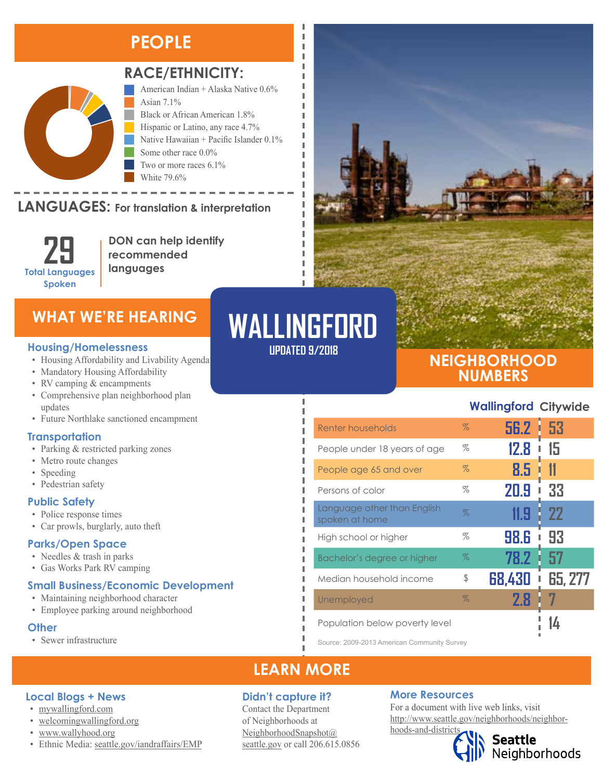## **PEOPLE**



## **RACE/ETHNICITY:**

American Indian + Alaska Native 0.6% Asian 7.1% Black or African American 1.8% Hispanic or Latino, any race 4.7% Native Hawaiian + Pacific Islander 0.1% Some other race 0.0% Two or more races 6.1% White 79.6%

#### LANGUAGES: For translation & interpretation Native Hawaiian and Other Pacific Islander Some Other Race

**29 Total Languages Spoken**

**DON can help identify recommended languages**

#### **Housing/Homelessness**

- Housing Affordability and Livability Agenda
- Mandatory Housing Affordability
- RV camping & encampments
- Comprehensive plan neighborhood plan updates
- Future Northlake sanctioned encampment

### **Transportation**

- Parking & restricted parking zones
- Metro route changes
- Speeding
- Pedestrian safety

### **Public Safety**

- Police response times
- Car prowls, burglarly, auto theft

## **Parks/Open Space**

- Needles & trash in parks
- Gas Works Park RV camping

### **Small Business/Economic Development**

- Maintaining neighborhood character
- Employee parking around neighborhood

• Ethnic Media: [seattle.gov/iandraffairs/EMP](http://www.seattle.gov/iandraffairs/EMP)

### **Other**

• Sewer infrastructure

**Local Blogs + News** • [mywallingford.com](https://mywallingford.com/) • [welcomingwallingford.org](https://welcomingwallingford.org) • [www.wallyhood.org](http://www.wallyhood.org/)

# WHAT WE'RE HEARING**WALLINGFORD**

л I I л л

л л J.

л л п

I Ī I Л л

## **UPDATED 9/2018**

Ï

## **NEIGHBORHOOD NUMBERS**

## **Wallingford Citywide**

| Renter households                             | $\%$ | 56.2 · 53   |                |
|-----------------------------------------------|------|-------------|----------------|
| People under 18 years of age                  | %    | <b>12.8</b> | 15             |
| People age 65 and over                        | $\%$ | 8.5         |                |
| Persons of color                              | %    | 20.9        | 33<br>I        |
| Language other than English<br>spoken at home | $\%$ | 11.9        | 22             |
| High school or higher                         | %    | 98.6        | 93             |
| Bachelor's degree or higher                   | $\%$ | 78.2        | 57             |
| Median household income                       | \$   | 68,430      | <b>65, 277</b> |
| Unemployed                                    | $\%$ | 2.8         |                |
| Population below poverty level                |      |             |                |

Source: 2009-2013 American Community Survey

## **LEARN MORE**

## **Didn't capture it?**

Contact the Department of Neighborhoods at [NeighborhoodSnapshot@](mailto:NeighborhoodSnapshot%40%0Aseattle.gov?subject=) [seattle.gov](mailto:NeighborhoodSnapshot%40%0Aseattle.gov?subject=) or call 206.615.0856

## **More Resources**

For a document with live web links, visit [http://www.seattle.gov/neighborhoods/neighbor](http://www.seattle.gov/neighborhoods/neighborhoods-and-districts)[hoods-and-districts](http://www.seattle.gov/neighborhoods/neighborhoods-and-districts)

Seattle<br>Neighborhoods